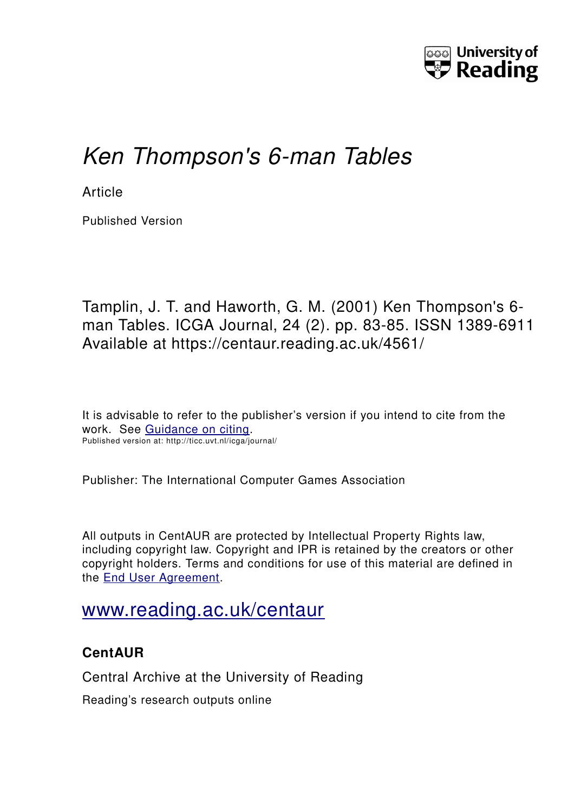

# *Ken Thompson's 6-man Tables*

**Article** 

Published Version

Tamplin, J. T. and Haworth, G. M. (2001) Ken Thompson's 6 man Tables. ICGA Journal, 24 (2). pp. 83-85. ISSN 1389-6911 Available at https://centaur.reading.ac.uk/4561/

It is advisable to refer to the publisher's version if you intend to cite from the work. See [Guidance on citing.](http://centaur.reading.ac.uk/71187/10/CentAUR%20citing%20guide.pdf) Published version at: http://ticc.uvt.nl/icga/journal/

Publisher: The International Computer Games Association

All outputs in CentAUR are protected by Intellectual Property Rights law, including copyright law. Copyright and IPR is retained by the creators or other copyright holders. Terms and conditions for use of this material are defined in the [End User Agreement.](http://centaur.reading.ac.uk/licence)

## [www.reading.ac.uk/centaur](http://www.reading.ac.uk/centaur)

### **CentAUR**

Central Archive at the University of Reading

Reading's research outputs online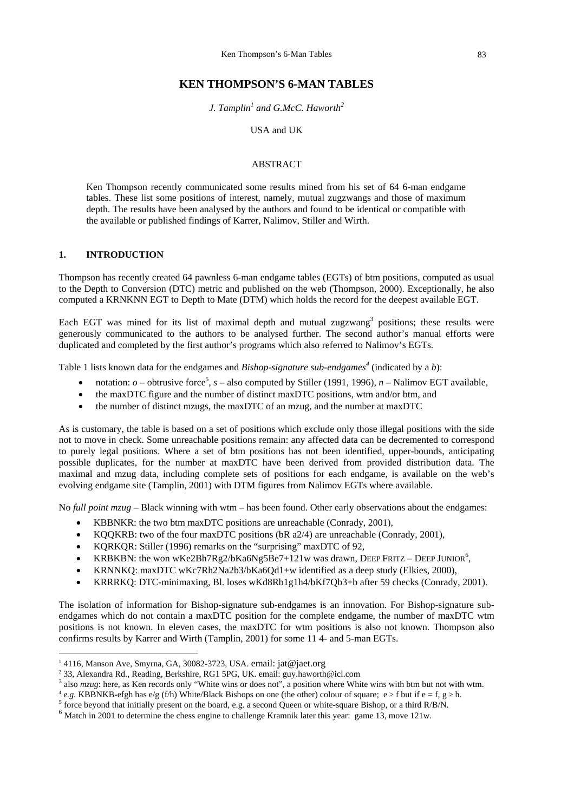#### **KEN THOMPSON'S 6-MAN TABLES**

*J. Tamplin[1](#page-1-0) and G.McC. Haworth[2](#page-1-1)*

USA and UK

#### ABSTRACT

Ken Thompson recently communicated some results mined from his set of 64 6-man endgame tables. These list some positions of interest, namely, mutual zugzwangs and those of maximum depth. The results have been analysed by the authors and found to be identical or compatible with the available or published findings of Karrer, Nalimov, Stiller and Wirth.

#### **1. INTRODUCTION**

l

Thompson has recently created 64 pawnless 6-man endgame tables (EGTs) of btm positions, computed as usual to the Depth to Conversion (DTC) metric and published on the web (Thompson, 2000). Exceptionally, he also computed a KRNKNN EGT to Depth to Mate (DTM) which holds the record for the deepest available EGT.

Each EGT was mined for its list of maximal depth and mutual zugzwang<sup>[3](#page-1-2)</sup> positions; these results were generously communicated to the authors to be analysed further. The second author's manual efforts were duplicated and completed by the first author's programs which also referred to Nalimov's EGTs.

Table 1 lists known data for the endgames and *Bishop-signature sub-endgames<sup>4</sup>* (indicated by a *b*):

- notation:  $o$  obtrusive force<sup>[5](#page-1-4)</sup>,  $s$  also computed by Stiller (1991, 1996),  $n$  Nalimov EGT available,
- the maxDTC figure and the number of distinct maxDTC positions, wtm and/or btm, and
- the number of distinct mzugs, the maxDTC of an mzug, and the number at maxDTC

As is customary, the table is based on a set of positions which exclude only those illegal positions with the side not to move in check. Some unreachable positions remain: any affected data can be decremented to correspond to purely legal positions. Where a set of btm positions has not been identified, upper-bounds, anticipating possible duplicates, for the number at maxDTC have been derived from provided distribution data. The maximal and mzug data, including complete sets of positions for each endgame, is available on the web's evolving endgame site (Tamplin, 2001) with DTM figures from Nalimov EGTs where available.

No *full point mzug* – Black winning with wtm – has been found. Other early observations about the endgames:

- KBBNKR: the two btm maxDTC positions are unreachable (Conrady, 2001),
- KQQKRB: two of the four maxDTC positions (bR a2/4) are unreachable (Conrady, 2001),
- KORKOR: Stiller (1996) remarks on the "surprising" maxDTC of 92,
- KRBKBN: the won wKe2Bh7Rg2/bKa6Ng5Be7+121w was drawn[,](#page-1-5) DEEP FRITZ DEEP JUNIOR<sup>6</sup>,
- KRNNKQ: maxDTC wKc7Rh2Na2b3/bKa6Qd1+w identified as a deep study (Elkies, 2000),
- KRRRKQ: DTC-minimaxing, Bl. loses wKd8Rb1g1h4/bKf7Qb3+b after 59 checks (Conrady, 2001).

The isolation of information for Bishop-signature sub-endgames is an innovation. For Bishop-signature subendgames which do not contain a maxDTC position for the complete endgame, the number of maxDTC wtm positions is not known. In eleven cases, the maxDTC for wtm positions is also not known. Thompson also confirms results by Karrer and Wirth (Tamplin, 2001) for some 11 4- and 5-man EGTs.

<span id="page-1-0"></span> $14116$ , Manson Ave, Smyrna, GA, 30082-3723, USA, email: jat@jaet.org

<span id="page-1-1"></span><sup>&</sup>lt;sup>2</sup> 33, Alexandra Rd., Reading, Berkshire, RG1 5PG, UK. email: guy.haworth@icl.com<br><sup>3</sup> also *mzug*: here, as Ken records only "White wins or does not", a position where White wins with btm but not with wtm.

<span id="page-1-2"></span>

<span id="page-1-3"></span>e.g. KBBNKB-efgh has e/g (f/h) White/Black Bishops on one (the other) colour of square;  $e \ge f$  but if  $e = f$ ,  $g \ge h$ .

<span id="page-1-4"></span><sup>&</sup>lt;sup>5</sup> force beyond that initially present on the board, e.g. a second Queen or white-square Bishop, or a third R/B/N.  $^6$  Match in 2001 to determine the chess engine to challenge Kramnik later this year: game 13, move 121w

<span id="page-1-5"></span>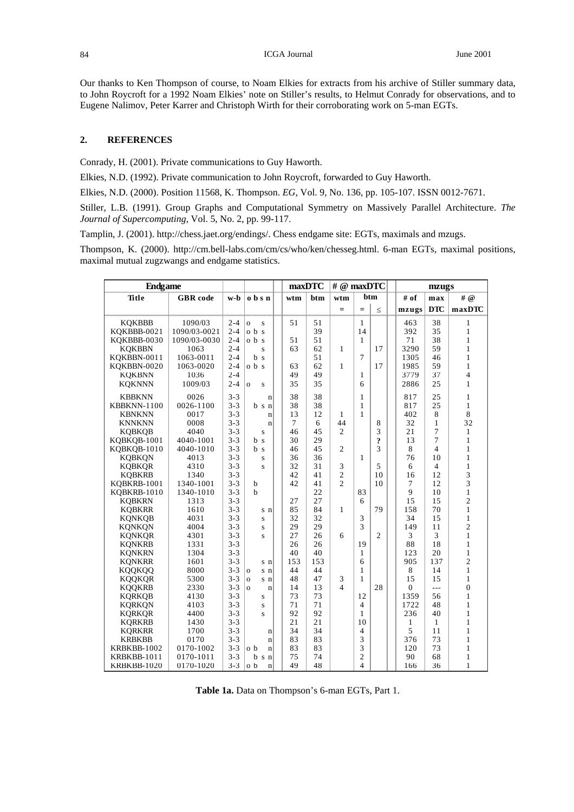Our thanks to Ken Thompson of course, to Noam Elkies for extracts from his archive of Stiller summary data, to John Roycroft for a 1992 Noam Elkies' note on Stiller's results, to Helmut Conrady for observations, and to Eugene Nalimov, Peter Karrer and Christoph Wirth for their corroborating work on 5-man EGTs.

#### **2. REFERENCES**

Conrady, H. (2001). Private communications to Guy Haworth.

Elkies, N.D. (1992). Private communication to John Roycroft, forwarded to Guy Haworth.

Elkies, N.D. (2000). Position 11568, K. Thompson. *EG*, Vol. 9, No. 136, pp. 105-107. ISSN 0012-7671.

Stiller, L.B. (1991). Group Graphs and Computational Symmetry on Massively Parallel Architecture. *The Journal of Supercomputing*, Vol. 5, No. 2, pp. 99-117.

Tamplin, J. (2001). http://chess.jaet.org/endings/. Chess endgame site: EGTs, maximals and mzugs.

Thompson, K. (2000). http://cm.bell-labs.com/cm/cs/who/ken/chesseg.html. 6-man EGTs, maximal positions, maximal mutual zugzwangs and endgame statistics.

| <b>Endgame</b> |                 |         |                         |                | maxDTC | # @ maxDTC     |                |                |  | mzugs          |                |                |  |
|----------------|-----------------|---------|-------------------------|----------------|--------|----------------|----------------|----------------|--|----------------|----------------|----------------|--|
| Title          | <b>GBR</b> code | w-b     | o b s n                 | wtm            | btm    | wtm            | btm            |                |  | # of           | max            | # @            |  |
|                |                 |         |                         |                |        | $=$            | $=$            | $\leq$         |  | mzugs          | <b>DTC</b>     | maxDTC         |  |
| <b>KOKBBB</b>  | 1090/03         | $2 - 4$ | $\mathbf{o}$            | 51             | 51     |                | 1              |                |  | 463            | 38             | $\mathbf{1}$   |  |
| KOKBBB-0021    | 1090/03-0021    | $2 - 4$ | S<br>obs                |                | 39     |                | 14             |                |  | 392            | 35             | $\mathbf{1}$   |  |
| KOKBBB-0030    | 1090/03-0030    | $2 - 4$ | obs                     | 51             | 51     |                | $\mathbf{1}$   |                |  | 71             | 38             | $\mathbf{1}$   |  |
| <b>KQKBBN</b>  | 1063            | $2 - 4$ | S                       | 63             | 62     | 1              |                | 17             |  | 3290           | 59             | $\mathbf{1}$   |  |
| KOKBBN-0011    | 1063-0011       | $2 - 4$ | b <sub>s</sub>          |                | 51     |                | $\overline{7}$ |                |  | 1305           | 46             | $\mathbf{1}$   |  |
| KOKBBN-0020    | 1063-0020       | $2 - 4$ | 0 <sub>b</sub> s        | 63             | 62     | 1              |                | 17             |  | 1985           | 59             | $\mathbf{1}$   |  |
| <b>KOKBNN</b>  | 1036            | $2 - 4$ |                         | 49             | 49     |                | 1              |                |  | 3779           | 37             | $\overline{4}$ |  |
| <b>KQKNNN</b>  | 1009/03         | $2 - 4$ |                         | 35             | 35     |                | 6              |                |  | 2886           | 25             | $\mathbf{1}$   |  |
|                |                 |         | $\overline{O}$<br>S     |                |        |                |                |                |  |                |                |                |  |
| <b>KBBKNN</b>  | 0026            | $3 - 3$ | $\mathbf n$             | 38             | 38     |                | 1              |                |  | 817            | 25             | $\mathbf{1}$   |  |
| KBBKNN-1100    | 0026-1100       | $3 - 3$ | $b \s n$                | 38             | 38     |                | 1              |                |  | 817            | 25             | $\mathbf{1}$   |  |
| <b>KBNKNN</b>  | 0017            | $3 - 3$ | $\mathbf n$             | 13             | 12     | $\mathbf{1}$   | 1              |                |  | 402            | 8              | 8              |  |
| <b>KNNKNN</b>  | 0008            | $3 - 3$ | $\mathbf n$             | $\overline{7}$ | 6      | 44             |                | 8              |  | 32             | 1              | 32             |  |
| <b>KOBKOB</b>  | 4040            | $3 - 3$ | S                       | 46             | 45     | $\overline{2}$ |                | 3              |  | 21             | 7              | $\mathbf{1}$   |  |
| KQBKQB-1001    | 4040-1001       | $3 - 3$ | b<br><sub>S</sub>       | 30             | 29     |                |                | ?              |  | 13             | $\overline{7}$ | $\mathbf{1}$   |  |
| KQBKQB-1010    | 4040-1010       | $3 - 3$ | b s                     | 46             | 45     | $\overline{2}$ |                | 3              |  | 8              | 4              | $\mathbf{1}$   |  |
| <b>KOBKON</b>  | 4013            | $3 - 3$ | S                       | 36             | 36     |                | 1              |                |  | 76             | 10             | $\mathbf{1}$   |  |
| <b>KQBKQR</b>  | 4310            | $3 - 3$ | $\overline{\mathbf{s}}$ | 32             | 31     | 3              |                | 5              |  | 6              | $\overline{4}$ | $\mathbf{1}$   |  |
| <b>KQBKRB</b>  | 1340            | $3 - 3$ |                         | 42             | 41     | $\overline{2}$ |                | 10             |  | 16             | 12             | 3              |  |
| KOBKRB-1001    | 1340-1001       | $3 - 3$ | b                       | 42             | 41     | $\overline{2}$ |                | 10             |  | 7              | 12             | 3              |  |
| KOBKRB-1010    | 1340-1010       | $3 - 3$ | $\mathbf b$             |                | 22     |                | 83             |                |  | 9              | 10             | $\mathbf{1}$   |  |
| <b>KQBKRN</b>  | 1313            | $3 - 3$ |                         | 27             | 27     |                | 6              |                |  | 15             | 15             | $\overline{c}$ |  |
| <b>KOBKRR</b>  | 1610            | $3 - 3$ | s n                     | 85             | 84     | 1              |                | 79             |  | 158            | 70             | $\mathbf{1}$   |  |
| <b>KONKOB</b>  | 4031            | $3 - 3$ | S                       | 32             | 32     |                | 3              |                |  | 34             | 15             | $\mathbf{1}$   |  |
| <b>KONKON</b>  | 4004            | $3 - 3$ | S                       | 29             | 29     |                | 3              |                |  | 149            | 11             | $\overline{2}$ |  |
| <b>KONKOR</b>  | 4301            | $3 - 3$ | $\mathbf{s}$            | 27             | 26     | 6              |                | $\overline{2}$ |  | 3              | 3              | $\mathbf{1}$   |  |
| <b>KONKRB</b>  | 1331            | $3 - 3$ |                         | 26             | 26     |                | 19             |                |  | 88             | 18             | $\mathbf{1}$   |  |
| <b>KONKRN</b>  | 1304            | $3 - 3$ |                         | 40             | 40     |                | 1              |                |  | 123            | 20             | 1              |  |
| <b>KONKRR</b>  | 1601            | $3 - 3$ | s n                     | 153            | 153    |                | 6              |                |  | 905            | 137            | $\overline{2}$ |  |
| KQQKQQ         | 8000            | $3 - 3$ | $\mathbf{o}$<br>s n     | 44             | 44     |                | 1              |                |  | 8              | 14             | $\mathbf{1}$   |  |
| <b>KOQKQR</b>  | 5300            | $3 - 3$ | $\overline{O}$<br>s n   | 48             | 47     | 3              | 1              |                |  | 15             | 15             | $\mathbf{1}$   |  |
| <b>KQQKRB</b>  | 2330            | $3 - 3$ | $\Omega$<br>$\mathbf n$ | 14             | 13     | $\overline{4}$ |                | 28             |  | $\overline{0}$ | $\overline{a}$ | $\overline{0}$ |  |
| <b>KORKOB</b>  | 4130            | $3 - 3$ | S                       | 73             | 73     |                | 12             |                |  | 1359           | 56             | $\mathbf{1}$   |  |
| <b>KORKON</b>  | 4103            | $3 - 3$ | S                       | 71             | 71     |                | $\overline{4}$ |                |  | 1722           | 48             | $\mathbf{1}$   |  |
| <b>KORKOR</b>  | 4400            | $3 - 3$ | S                       | 92             | 92     |                | 1              |                |  | 236            | 40             | $\mathbf{1}$   |  |
| <b>KORKRB</b>  | 1430            | $3 - 3$ |                         | 21             | 21     |                | 10             |                |  | 1              | $\mathbf{1}$   | 1              |  |
| <b>KQRKRR</b>  | 1700            | $3 - 3$ | $\mathbf n$             | 34             | 34     |                | 4              |                |  | 5              | 11             | $\mathbf{1}$   |  |
| <b>KRBKBB</b>  | 0170            | $3 - 3$ | $\mathbf n$             | 83             | 83     |                | 3              |                |  | 376            | 73             | $\mathbf{1}$   |  |
| KRBKBB-1002    | 0170-1002       | $3 - 3$ | o b<br>$\mathbf n$      | 83             | 83     |                | 3              |                |  | 120            | 73             | $\mathbf{1}$   |  |
| KRBKBB-1011    | 0170-1011       | $3 - 3$ | b<br>s n                | 75             | 74     |                | $\overline{2}$ |                |  | 90             | 68             | 1              |  |
| KRBKBB-1020    | 0170-1020       | $3 - 3$ | o b<br>$\mathbf n$      | 49             | 48     |                | 4              |                |  | 166            | 36             | 1              |  |

**Table 1a.** Data on Thompson's 6-man EGTs, Part 1.